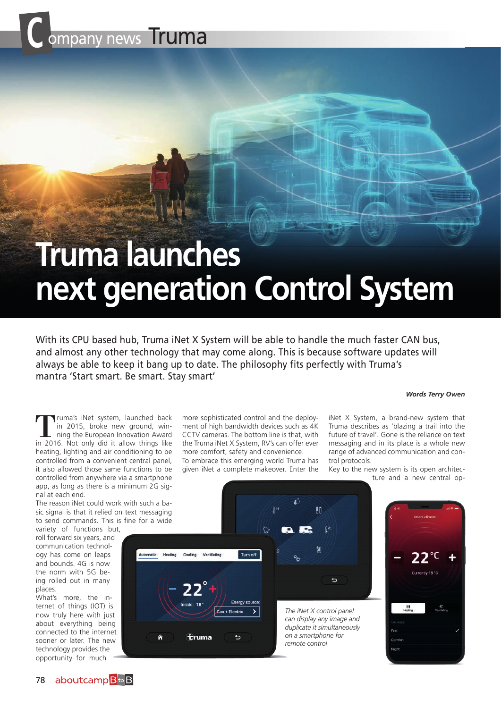

# **Truma launches next generation Control System**

With its CPU based hub, Truma iNet X System will be able to handle the much faster CAN bus, and almost any other technology that may come along. This is because software updates will always be able to keep it bang up to date. The philosophy fits perfectly with Truma's mantra 'Start smart. Be smart. Stay smart'

#### *Words Terry Owen*

Truma's iNet system, launched back in 2015, broke new ground, winning the European Innovation Award in 2016. Not only did it allow things like heating, lighting and air conditioning to be controlled from a convenient central panel, it also allowed those same functions to be controlled from anywhere via a smartphone app, as long as there is a minimum 2G signal at each end.

The reason iNet could work with such a basic signal is that it relied on text messaging to send commands. This is fine for a wide variety of functions but,

roll forward six years, and communication technology has come on leaps and bounds. 4G is now the norm with 5G being rolled out in many places.

What's more, the internet of things (IOT) is now truly here with just about everything being connected to the internet sooner or later. The new technology provides the opportunity for much

more sophisticated control and the deployment of high bandwidth devices such as 4K CCTV cameras. The bottom line is that, with the Truma iNet X System, RV's can offer ever more comfort, safety and convenience.

To embrace this emerging world Truma has given iNet a complete makeover. Enter the

iNet X System, a brand-new system that Truma describes as 'blazing a trail into the future of travel'. Gone is the reliance on text messaging and in its place is a whole new range of advanced communication and control protocols.

Key to the new system is its open architecture and a new central op-